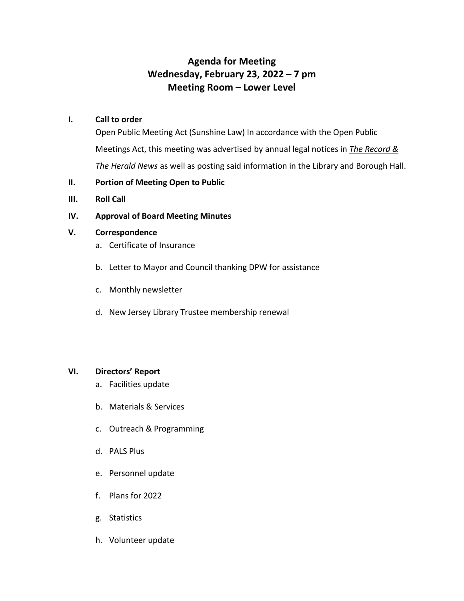# **Agenda for Meeting Wednesday, February 23, 2022 – 7 pm Meeting Room – Lower Level**

#### **I. Call to order**

Open Public Meeting Act (Sunshine Law) In accordance with the Open Public Meetings Act, this meeting was advertised by annual legal notices in *The Record & The Herald News* as well as posting said information in the Library and Borough Hall.

## **II. Portion of Meeting Open to Public**

**III. Roll Call**

## **IV. Approval of Board Meeting Minutes**

## **V. Correspondence**

- a. Certificate of Insurance
- b. Letter to Mayor and Council thanking DPW for assistance
- c. Monthly newsletter
- d. New Jersey Library Trustee membership renewal

## **VI. Directors' Report**

- a. Facilities update
- b. Materials & Services
- c. Outreach & Programming
- d. PALS Plus
- e. Personnel update
- f. Plans for 2022
- g. Statistics
- h. Volunteer update